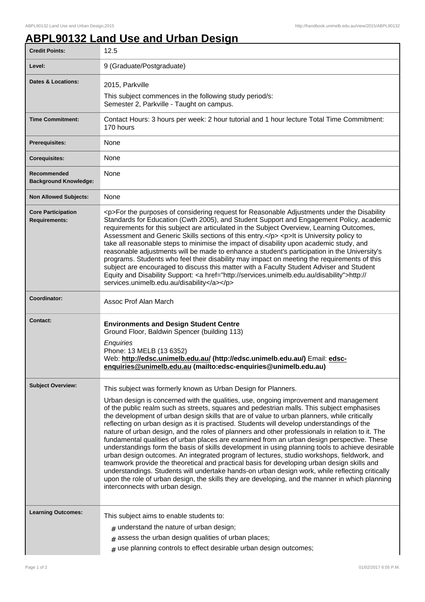## **ABPL90132 Land Use and Urban Design**

| <b>Credit Points:</b>                             | 12.5                                                                                                                                                                                                                                                                                                                                                                                                                                                                                                                                                                                                                                                                                                                                                                                                                                                                                                                                                                                                                                                                                                                                                                                            |
|---------------------------------------------------|-------------------------------------------------------------------------------------------------------------------------------------------------------------------------------------------------------------------------------------------------------------------------------------------------------------------------------------------------------------------------------------------------------------------------------------------------------------------------------------------------------------------------------------------------------------------------------------------------------------------------------------------------------------------------------------------------------------------------------------------------------------------------------------------------------------------------------------------------------------------------------------------------------------------------------------------------------------------------------------------------------------------------------------------------------------------------------------------------------------------------------------------------------------------------------------------------|
| Level:                                            | 9 (Graduate/Postgraduate)                                                                                                                                                                                                                                                                                                                                                                                                                                                                                                                                                                                                                                                                                                                                                                                                                                                                                                                                                                                                                                                                                                                                                                       |
| <b>Dates &amp; Locations:</b>                     | 2015, Parkville                                                                                                                                                                                                                                                                                                                                                                                                                                                                                                                                                                                                                                                                                                                                                                                                                                                                                                                                                                                                                                                                                                                                                                                 |
|                                                   | This subject commences in the following study period/s:<br>Semester 2, Parkville - Taught on campus.                                                                                                                                                                                                                                                                                                                                                                                                                                                                                                                                                                                                                                                                                                                                                                                                                                                                                                                                                                                                                                                                                            |
| <b>Time Commitment:</b>                           | Contact Hours: 3 hours per week: 2 hour tutorial and 1 hour lecture Total Time Commitment:<br>170 hours                                                                                                                                                                                                                                                                                                                                                                                                                                                                                                                                                                                                                                                                                                                                                                                                                                                                                                                                                                                                                                                                                         |
| <b>Prerequisites:</b>                             | None                                                                                                                                                                                                                                                                                                                                                                                                                                                                                                                                                                                                                                                                                                                                                                                                                                                                                                                                                                                                                                                                                                                                                                                            |
| <b>Corequisites:</b>                              | None                                                                                                                                                                                                                                                                                                                                                                                                                                                                                                                                                                                                                                                                                                                                                                                                                                                                                                                                                                                                                                                                                                                                                                                            |
| Recommended<br><b>Background Knowledge:</b>       | None                                                                                                                                                                                                                                                                                                                                                                                                                                                                                                                                                                                                                                                                                                                                                                                                                                                                                                                                                                                                                                                                                                                                                                                            |
| <b>Non Allowed Subjects:</b>                      | None                                                                                                                                                                                                                                                                                                                                                                                                                                                                                                                                                                                                                                                                                                                                                                                                                                                                                                                                                                                                                                                                                                                                                                                            |
| <b>Core Participation</b><br><b>Requirements:</b> | <p>For the purposes of considering request for Reasonable Adjustments under the Disability<br/>Standards for Education (Cwth 2005), and Student Support and Engagement Policy, academic<br/>requirements for this subject are articulated in the Subject Overview, Learning Outcomes,<br/>Assessment and Generic Skills sections of this entry.</p> <p>lt is University policy to<br/>take all reasonable steps to minimise the impact of disability upon academic study, and<br/>reasonable adjustments will be made to enhance a student's participation in the University's<br/>programs. Students who feel their disability may impact on meeting the requirements of this<br/>subject are encouraged to discuss this matter with a Faculty Student Adviser and Student<br/>Equity and Disability Support: &lt; a href="http://services.unimelb.edu.au/disability"&gt;http://<br/>services.unimelb.edu.au/disability</p>                                                                                                                                                                                                                                                                    |
| Coordinator:                                      | Assoc Prof Alan March                                                                                                                                                                                                                                                                                                                                                                                                                                                                                                                                                                                                                                                                                                                                                                                                                                                                                                                                                                                                                                                                                                                                                                           |
| <b>Contact:</b>                                   | <b>Environments and Design Student Centre</b><br>Ground Floor, Baldwin Spencer (building 113)<br>Enquiries<br>Phone: 13 MELB (13 6352)<br>Web: http://edsc.unimelb.edu.au/ (http://edsc.unimelb.edu.au/) Email: edsc-<br>enquiries@unimelb.edu.au (mailto:edsc-enquiries@unimelb.edu.au)                                                                                                                                                                                                                                                                                                                                                                                                                                                                                                                                                                                                                                                                                                                                                                                                                                                                                                        |
| <b>Subject Overview:</b>                          | This subject was formerly known as Urban Design for Planners.<br>Urban design is concerned with the qualities, use, ongoing improvement and management<br>of the public realm such as streets, squares and pedestrian malls. This subject emphasises<br>the development of urban design skills that are of value to urban planners, while critically<br>reflecting on urban design as it is practised. Students will develop understandings of the<br>nature of urban design, and the roles of planners and other professionals in relation to it. The<br>fundamental qualities of urban places are examined from an urban design perspective. These<br>understandings form the basis of skills development in using planning tools to achieve desirable<br>urban design outcomes. An integrated program of lectures, studio workshops, fieldwork, and<br>teamwork provide the theoretical and practical basis for developing urban design skills and<br>understandings. Students will undertake hands-on urban design work, while reflecting critically<br>upon the role of urban design, the skills they are developing, and the manner in which planning<br>interconnects with urban design. |
| <b>Learning Outcomes:</b>                         | This subject aims to enable students to:<br>$#$ understand the nature of urban design;<br>$#$ assess the urban design qualities of urban places;<br>$#$ use planning controls to effect desirable urban design outcomes;                                                                                                                                                                                                                                                                                                                                                                                                                                                                                                                                                                                                                                                                                                                                                                                                                                                                                                                                                                        |